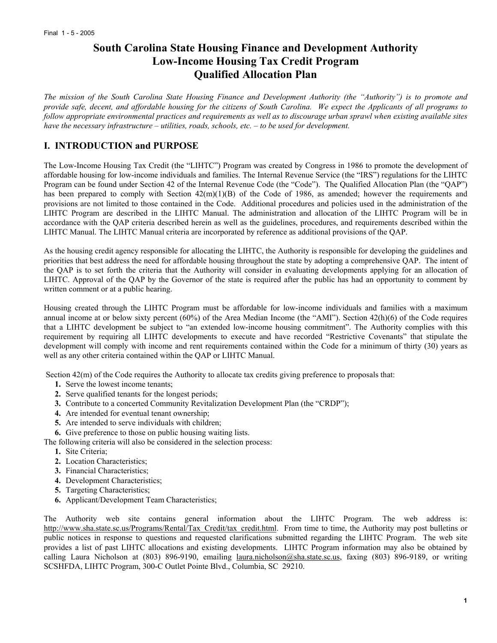# **South Carolina State Housing Finance and Development Authority Low-Income Housing Tax Credit Program Qualified Allocation Plan**

*The mission of the South Carolina State Housing Finance and Development Authority (the "Authority") is to promote and provide safe, decent, and affordable housing for the citizens of South Carolina. We expect the Applicants of all programs to follow appropriate environmental practices and requirements as well as to discourage urban sprawl when existing available sites have the necessary infrastructure – utilities, roads, schools, etc. – to be used for development.* 

## **I. INTRODUCTION and PURPOSE**

The Low-Income Housing Tax Credit (the "LIHTC") Program was created by Congress in 1986 to promote the development of affordable housing for low-income individuals and families. The Internal Revenue Service (the "IRS") regulations for the LIHTC Program can be found under Section 42 of the Internal Revenue Code (the "Code"). The Qualified Allocation Plan (the "QAP") has been prepared to comply with Section  $42(m)(1)(B)$  of the Code of 1986, as amended; however the requirements and provisions are not limited to those contained in the Code. Additional procedures and policies used in the administration of the LIHTC Program are described in the LIHTC Manual. The administration and allocation of the LIHTC Program will be in accordance with the QAP criteria described herein as well as the guidelines, procedures, and requirements described within the LIHTC Manual. The LIHTC Manual criteria are incorporated by reference as additional provisions of the QAP.

As the housing credit agency responsible for allocating the LIHTC, the Authority is responsible for developing the guidelines and priorities that best address the need for affordable housing throughout the state by adopting a comprehensive QAP. The intent of the QAP is to set forth the criteria that the Authority will consider in evaluating developments applying for an allocation of LIHTC. Approval of the QAP by the Governor of the state is required after the public has had an opportunity to comment by written comment or at a public hearing.

Housing created through the LIHTC Program must be affordable for low-income individuals and families with a maximum annual income at or below sixty percent  $(60%)$  of the Area Median Income (the "AMI"). Section  $42(h)(6)$  of the Code requires that a LIHTC development be subject to "an extended low-income housing commitment". The Authority complies with this requirement by requiring all LIHTC developments to execute and have recorded "Restrictive Covenants" that stipulate the development will comply with income and rent requirements contained within the Code for a minimum of thirty (30) years as well as any other criteria contained within the QAP or LIHTC Manual.

Section 42(m) of the Code requires the Authority to allocate tax credits giving preference to proposals that:

- **1.** Serve the lowest income tenants;
- **2.** Serve qualified tenants for the longest periods;
- **3.** Contribute to a concerted Community Revitalization Development Plan (the "CRDP");
- **4.** Are intended for eventual tenant ownership;
- **5.** Are intended to serve individuals with children;
- **6.** Give preference to those on public housing waiting lists.
- The following criteria will also be considered in the selection process:
	- **1.** Site Criteria;
	- **2.** Location Characteristics;
	- **3.** Financial Characteristics;
	- **4.** Development Characteristics;
	- **5.** Targeting Characteristics;
	- **6.** Applicant/Development Team Characteristics;

The Authority web site contains general information about the LIHTC Program. The web address is: http://www.sha.state.sc.us/Programs/Rental/Tax\_Credit/tax\_credit.html. From time to time, the Authority may post bulletins or public notices in response to questions and requested clarifications submitted regarding the LIHTC Program. The web site provides a list of past LIHTC allocations and existing developments. LIHTC Program information may also be obtained by calling Laura Nicholson at (803) 896-9190, emailing laura.nicholson@sha.state.sc.us, faxing (803) 896-9189, or writing SCSHFDA, LIHTC Program, 300-C Outlet Pointe Blvd., Columbia, SC 29210.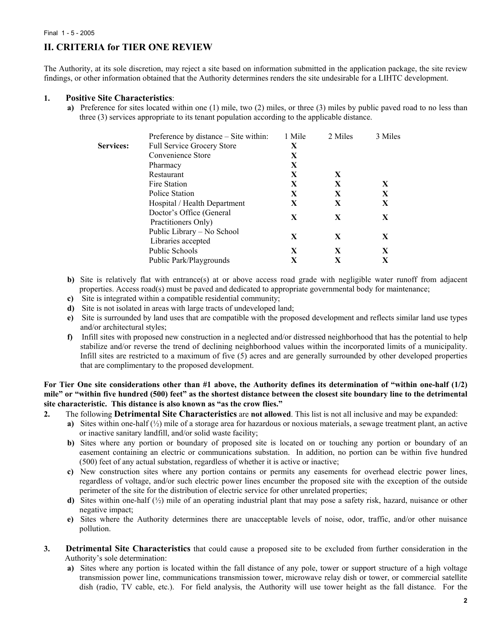# **II. CRITERIA for TIER ONE REVIEW**

The Authority, at its sole discretion, may reject a site based on information submitted in the application package, the site review findings, or other information obtained that the Authority determines renders the site undesirable for a LIHTC development.

### **1. Positive Site Characteristics**:

**a)** Preference for sites located within one (1) mile, two (2) miles, or three (3) miles by public paved road to no less than three (3) services appropriate to its tenant population according to the applicable distance.

|           | Preference by distance – Site within:            | 1 Mile | 2 Miles | 3 Miles |
|-----------|--------------------------------------------------|--------|---------|---------|
| Services: | <b>Full Service Grocery Store</b>                | X      |         |         |
|           | Convenience Store                                | X      |         |         |
|           | Pharmacy                                         | X      |         |         |
|           | Restaurant                                       | X      | X       |         |
|           | Fire Station                                     | X      | X       | X       |
|           | Police Station                                   | X      | X       | X       |
|           | Hospital / Health Department                     | X      | X       | X       |
|           | Doctor's Office (General<br>Practitioners Only)  | X      | X       | X       |
|           | Public Library - No School<br>Libraries accepted | X      | X       | X       |
|           | <b>Public Schools</b>                            | X      | X       | X       |
|           | Public Park/Playgrounds                          | X      | X       | X       |

- **b)** Site is relatively flat with entrance(s) at or above access road grade with negligible water runoff from adjacent properties. Access road(s) must be paved and dedicated to appropriate governmental body for maintenance;
- **c)** Site is integrated within a compatible residential community;
- **d)** Site is not isolated in areas with large tracts of undeveloped land;
- **e)** Site is surrounded by land uses that are compatible with the proposed development and reflects similar land use types and/or architectural styles;
- **f)** Infill sites with proposed new construction in a neglected and/or distressed neighborhood that has the potential to help stabilize and/or reverse the trend of declining neighborhood values within the incorporated limits of a municipality. Infill sites are restricted to a maximum of five (5) acres and are generally surrounded by other developed properties that are complimentary to the proposed development.

**For Tier One site considerations other than #1 above, the Authority defines its determination of "within one-half (1/2) mile" or "within five hundred (500) feet" as the shortest distance between the closest site boundary line to the detrimental site characteristic. This distance is also known as "as the crow flies."**

- **2.** The following **Detrimental Site Characteristics** are **not allowed**. This list is not all inclusive and may be expanded:
	- **a)** Sites within one-half (½) mile of a storage area for hazardous or noxious materials, a sewage treatment plant, an active or inactive sanitary landfill, and/or solid waste facility;
	- **b)** Sites where any portion or boundary of proposed site is located on or touching any portion or boundary of an easement containing an electric or communications substation. In addition, no portion can be within five hundred (500) feet of any actual substation, regardless of whether it is active or inactive;
	- **c)** New construction sites where any portion contains or permits any easements for overhead electric power lines, regardless of voltage, and/or such electric power lines encumber the proposed site with the exception of the outside perimeter of the site for the distribution of electric service for other unrelated properties;
	- **d)** Sites within one-half (½) mile of an operating industrial plant that may pose a safety risk, hazard, nuisance or other negative impact;
	- **e)** Sites where the Authority determines there are unacceptable levels of noise, odor, traffic, and/or other nuisance pollution.
- **3. Detrimental Site Characteristics** that could cause a proposed site to be excluded from further consideration in the Authority's sole determination:
	- **a)** Sites where any portion is located within the fall distance of any pole, tower or support structure of a high voltage transmission power line, communications transmission tower, microwave relay dish or tower, or commercial satellite dish (radio, TV cable, etc.). For field analysis, the Authority will use tower height as the fall distance. For the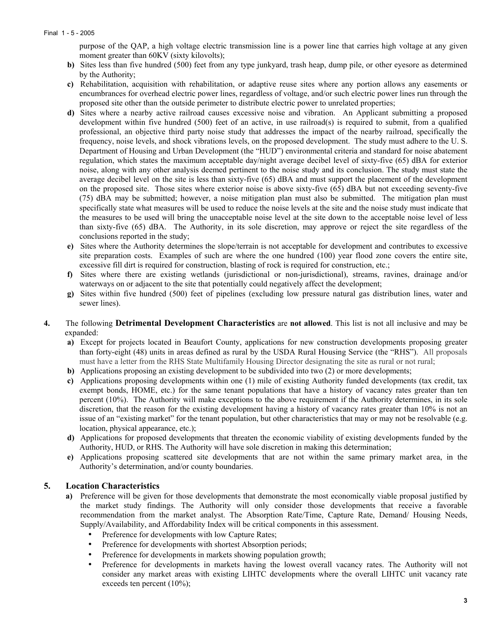purpose of the QAP, a high voltage electric transmission line is a power line that carries high voltage at any given moment greater than 60KV (sixty kilovolts);

- **b)** Sites less than five hundred (500) feet from any type junkyard, trash heap, dump pile, or other eyesore as determined by the Authority;
- **c)** Rehabilitation, acquisition with rehabilitation, or adaptive reuse sites where any portion allows any easements or encumbrances for overhead electric power lines, regardless of voltage, and/or such electric power lines run through the proposed site other than the outside perimeter to distribute electric power to unrelated properties;
- **d)** Sites where a nearby active railroad causes excessive noise and vibration. An Applicant submitting a proposed development within five hundred (500) feet of an active, in use railroad(s) is required to submit, from a qualified professional, an objective third party noise study that addresses the impact of the nearby railroad, specifically the frequency, noise levels, and shock vibrations levels, on the proposed development. The study must adhere to the U. S. Department of Housing and Urban Development (the "HUD") environmental criteria and standard for noise abatement regulation, which states the maximum acceptable day/night average decibel level of sixty-five (65) dBA for exterior noise, along with any other analysis deemed pertinent to the noise study and its conclusion. The study must state the average decibel level on the site is less than sixty-five (65) dBA and must support the placement of the development on the proposed site. Those sites where exterior noise is above sixty-five (65) dBA but not exceeding seventy-five (75) dBA may be submitted; however, a noise mitigation plan must also be submitted. The mitigation plan must specifically state what measures will be used to reduce the noise levels at the site and the noise study must indicate that the measures to be used will bring the unacceptable noise level at the site down to the acceptable noise level of less than sixty-five (65) dBA. The Authority, in its sole discretion, may approve or reject the site regardless of the conclusions reported in the study;
- **e)** Sites where the Authority determines the slope/terrain is not acceptable for development and contributes to excessive site preparation costs. Examples of such are where the one hundred (100) year flood zone covers the entire site, excessive fill dirt is required for construction, blasting of rock is required for construction, etc.;
- **f)** Sites where there are existing wetlands (jurisdictional or non-jurisdictional), streams, ravines, drainage and/or waterways on or adjacent to the site that potentially could negatively affect the development;
- **g)** Sites within five hundred (500) feet of pipelines (excluding low pressure natural gas distribution lines, water and sewer lines).
- **4.** The following **Detrimental Development Characteristics** are **not allowed**. This list is not all inclusive and may be expanded:
	- **a)** Except for projects located in Beaufort County, applications for new construction developments proposing greater than forty-eight (48) units in areas defined as rural by the USDA Rural Housing Service (the "RHS"). All proposals must have a letter from the RHS State Multifamily Housing Director designating the site as rural or not rural;
	- **b)** Applications proposing an existing development to be subdivided into two (2) or more developments;
	- **c)** Applications proposing developments within one (1) mile of existing Authority funded developments (tax credit, tax exempt bonds, HOME, etc.) for the same tenant populations that have a history of vacancy rates greater than ten percent (10%). The Authority will make exceptions to the above requirement if the Authority determines, in its sole discretion, that the reason for the existing development having a history of vacancy rates greater than 10% is not an issue of an "existing market" for the tenant population, but other characteristics that may or may not be resolvable (e.g. location, physical appearance, etc.);
	- **d)** Applications for proposed developments that threaten the economic viability of existing developments funded by the Authority, HUD, or RHS. The Authority will have sole discretion in making this determination;
	- **e)** Applications proposing scattered site developments that are not within the same primary market area, in the Authority's determination, and/or county boundaries.

### **5. Location Characteristics**

- **a)** Preference will be given for those developments that demonstrate the most economically viable proposal justified by the market study findings. The Authority will only consider those developments that receive a favorable recommendation from the market analyst. The Absorption Rate/Time, Capture Rate, Demand/ Housing Needs, Supply/Availability, and Affordability Index will be critical components in this assessment.
	- Preference for developments with low Capture Rates;
	- Preference for developments with shortest Absorption periods;
	- Preference for developments in markets showing population growth;
	- Preference for developments in markets having the lowest overall vacancy rates. The Authority will not consider any market areas with existing LIHTC developments where the overall LIHTC unit vacancy rate exceeds ten percent (10%);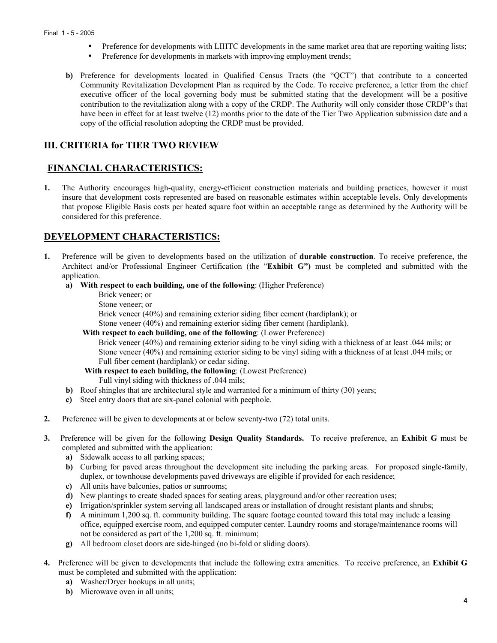- Preference for developments with LIHTC developments in the same market area that are reporting waiting lists;
- Preference for developments in markets with improving employment trends;
- **b)** Preference for developments located in Qualified Census Tracts (the "QCT") that contribute to a concerted Community Revitalization Development Plan as required by the Code. To receive preference, a letter from the chief executive officer of the local governing body must be submitted stating that the development will be a positive contribution to the revitalization along with a copy of the CRDP. The Authority will only consider those CRDP's that have been in effect for at least twelve (12) months prior to the date of the Tier Two Application submission date and a copy of the official resolution adopting the CRDP must be provided.

## **III. CRITERIA for TIER TWO REVIEW**

## **FINANCIAL CHARACTERISTICS:**

**1.** The Authority encourages high-quality, energy-efficient construction materials and building practices, however it must insure that development costs represented are based on reasonable estimates within acceptable levels. Only developments that propose Eligible Basis costs per heated square foot within an acceptable range as determined by the Authority will be considered for this preference.

## **DEVELOPMENT CHARACTERISTICS:**

- **1.** Preference will be given to developments based on the utilization of **durable construction**. To receive preference, the Architect and/or Professional Engineer Certification (the "**Exhibit G")** must be completed and submitted with the application.
	- **a) With respect to each building, one of the following**: (Higher Preference)
		- Brick veneer; or
		- Stone veneer; or
		- Brick veneer (40%) and remaining exterior siding fiber cement (hardiplank); or

Stone veneer (40%) and remaining exterior siding fiber cement (hardiplank).

 **With respect to each building, one of the following**: (Lower Preference)

Brick veneer (40%) and remaining exterior siding to be vinyl siding with a thickness of at least .044 mils; or Stone veneer (40%) and remaining exterior siding to be vinyl siding with a thickness of at least .044 mils; or Full fiber cement (hardiplank) or cedar siding.

 **With respect to each building, the following**: (Lowest Preference) Full vinyl siding with thickness of .044 mils;

- **b)** Roof shingles that are architectural style and warranted for a minimum of thirty (30) years;
- **c)** Steel entry doors that are six-panel colonial with peephole.
- **2.** Preference will be given to developments at or below seventy-two (72) total units.
- **3.** Preference will be given for the following **Design Quality Standards.** To receive preference, an **Exhibit G** must be completed and submitted with the application:
	- **a)** Sidewalk access to all parking spaces;
	- **b)** Curbing for paved areas throughout the development site including the parking areas. For proposed single-family, duplex, or townhouse developments paved driveways are eligible if provided for each residence;
	- **c)** All units have balconies, patios or sunrooms;
	- **d)** New plantings to create shaded spaces for seating areas, playground and/or other recreation uses;
	- **e)** Irrigation/sprinkler system serving all landscaped areas or installation of drought resistant plants and shrubs;
	- **f)** A minimum 1,200 sq. ft. community building. The square footage counted toward this total may include a leasing office, equipped exercise room, and equipped computer center. Laundry rooms and storage/maintenance rooms will not be considered as part of the 1,200 sq. ft. minimum;
	- **g)** All bedroom closet doors are side-hinged (no bi-fold or sliding doors).
- **4.** Preference will be given to developments that include the following extra amenities. To receive preference, an **Exhibit G** must be completed and submitted with the application:
	- **a)** Washer/Dryer hookups in all units;
	- **b)** Microwave oven in all units;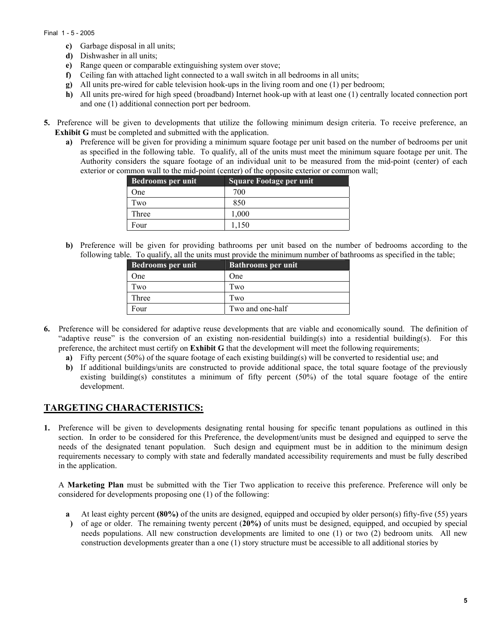#### Final 1 - 5 - 2005

- **c)** Garbage disposal in all units;
- **d)** Dishwasher in all units;
- **e)** Range queen or comparable extinguishing system over stove;
- **f)** Ceiling fan with attached light connected to a wall switch in all bedrooms in all units;
- **g)** All units pre-wired for cable television hook-ups in the living room and one (1) per bedroom;
- **h)** All units pre-wired for high speed (broadband) Internet hook-up with at least one (1) centrally located connection port and one (1) additional connection port per bedroom.
- **5.** Preference will be given to developments that utilize the following minimum design criteria. To receive preference, an **Exhibit G** must be completed and submitted with the application.
	- **a)** Preference will be given for providing a minimum square footage per unit based on the number of bedrooms per unit as specified in the following table. To qualify, all of the units must meet the minimum square footage per unit. The Authority considers the square footage of an individual unit to be measured from the mid-point (center) of each exterior or common wall to the mid-point (center) of the opposite exterior or common wall;

| <b>Bedrooms per unit</b> | <b>Square Footage per unit</b> |
|--------------------------|--------------------------------|
| One                      | 700                            |
| Two                      | 850                            |
| Three                    | 1,000                          |
| Four                     | 1.150                          |

**b)** Preference will be given for providing bathrooms per unit based on the number of bedrooms according to the following table. To qualify, all the units must provide the minimum number of bathrooms as specified in the table;

| Bedrooms per unit | <b>Bathrooms per unit</b> |
|-------------------|---------------------------|
| One               | One                       |
| Two               | Two                       |
| Three             | Two                       |
| Four              | Two and one-half          |

- **6.** Preference will be considered for adaptive reuse developments that are viable and economically sound. The definition of "adaptive reuse" is the conversion of an existing non-residential building(s) into a residential building(s). For this preference, the architect must certify on **Exhibit G** that the development will meet the following requirements;
	- **a)** Fifty percent (50%) of the square footage of each existing building(s) will be converted to residential use; and
	- **b)** If additional buildings/units are constructed to provide additional space, the total square footage of the previously existing building(s) constitutes a minimum of fifty percent (50%) of the total square footage of the entire development.

### **TARGETING CHARACTERISTICS:**

**1.** Preference will be given to developments designating rental housing for specific tenant populations as outlined in this section. In order to be considered for this Preference, the development/units must be designed and equipped to serve the needs of the designated tenant population. Such design and equipment must be in addition to the minimum design requirements necessary to comply with state and federally mandated accessibility requirements and must be fully described in the application.

A **Marketing Plan** must be submitted with the Tier Two application to receive this preference. Preference will only be considered for developments proposing one (1) of the following:

- **a** At least eighty percent **(80%)** of the units are designed, equipped and occupied by older person(s) fifty-five (55) years
- **)**  of age or older. The remaining twenty percent (**20%)** of units must be designed, equipped, and occupied by special needs populations. All new construction developments are limited to one (1) or two (2) bedroom units*.* All new construction developments greater than a one (1) story structure must be accessible to all additional stories by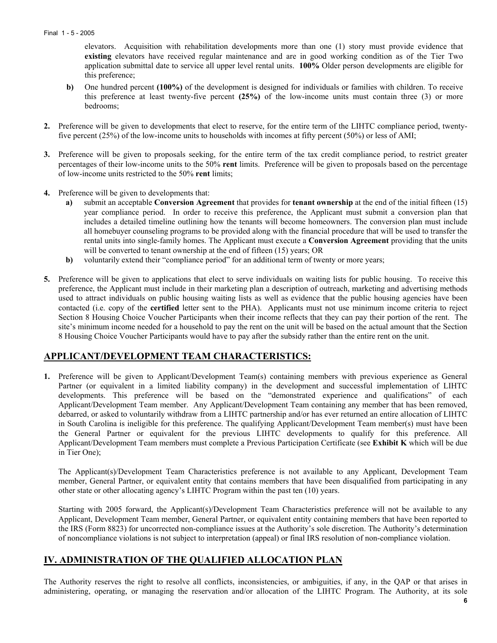elevators. Acquisition with rehabilitation developments more than one (1) story must provide evidence that **existing** elevators have received regular maintenance and are in good working condition as of the Tier Two application submittal date to service all upper level rental units. **100%** Older person developments are eligible for this preference;

- **b)** One hundred percent **(100%)** of the development is designed for individuals or families with children. To receive this preference at least twenty-five percent **(25%)** of the low-income units must contain three (3) or more bedrooms;
- **2.** Preference will be given to developments that elect to reserve, for the entire term of the LIHTC compliance period, twentyfive percent (25%) of the low-income units to households with incomes at fifty percent (50%) or less of AMI;
- **3.** Preference will be given to proposals seeking, for the entire term of the tax credit compliance period, to restrict greater percentages of their low-income units to the 50% **rent** limits. Preference will be given to proposals based on the percentage of low-income units restricted to the 50% **rent** limits;
- **4.** Preference will be given to developments that:
	- **a)** submit an acceptable **Conversion Agreement** that provides for **tenant ownership** at the end of the initial fifteen (15) year compliance period. In order to receive this preference, the Applicant must submit a conversion plan that includes a detailed timeline outlining how the tenants will become homeowners. The conversion plan must include all homebuyer counseling programs to be provided along with the financial procedure that will be used to transfer the rental units into single-family homes. The Applicant must execute a **Conversion Agreement** providing that the units will be converted to tenant ownership at the end of fifteen (15) years; OR
	- **b)** voluntarily extend their "compliance period" for an additional term of twenty or more years;
- **5.** Preference will be given to applications that elect to serve individuals on waiting lists for public housing. To receive this preference, the Applicant must include in their marketing plan a description of outreach, marketing and advertising methods used to attract individuals on public housing waiting lists as well as evidence that the public housing agencies have been contacted (i.e. copy of the **certified** letter sent to the PHA). Applicants must not use minimum income criteria to reject Section 8 Housing Choice Voucher Participants when their income reflects that they can pay their portion of the rent. The site's minimum income needed for a household to pay the rent on the unit will be based on the actual amount that the Section 8 Housing Choice Voucher Participants would have to pay after the subsidy rather than the entire rent on the unit.

### **APPLICANT/DEVELOPMENT TEAM CHARACTERISTICS:**

**1.** Preference will be given to Applicant/Development Team(s) containing members with previous experience as General Partner (or equivalent in a limited liability company) in the development and successful implementation of LIHTC developments. This preference will be based on the "demonstrated experience and qualifications" of each Applicant/Development Team member. Any Applicant/Development Team containing any member that has been removed, debarred, or asked to voluntarily withdraw from a LIHTC partnership and/or has ever returned an entire allocation of LIHTC in South Carolina is ineligible for this preference. The qualifying Applicant/Development Team member(s) must have been the General Partner or equivalent for the previous LIHTC developments to qualify for this preference. All Applicant/Development Team members must complete a Previous Participation Certificate (see **Exhibit K** which will be due in Tier One);

The Applicant(s)/Development Team Characteristics preference is not available to any Applicant, Development Team member, General Partner, or equivalent entity that contains members that have been disqualified from participating in any other state or other allocating agency's LIHTC Program within the past ten (10) years.

Starting with 2005 forward, the Applicant(s)/Development Team Characteristics preference will not be available to any Applicant, Development Team member, General Partner, or equivalent entity containing members that have been reported to the IRS (Form 8823) for uncorrected non-compliance issues at the Authority's sole discretion. The Authority's determination of noncompliance violations is not subject to interpretation (appeal) or final IRS resolution of non-compliance violation.

### **IV. ADMINISTRATION OF THE QUALIFIED ALLOCATION PLAN**

The Authority reserves the right to resolve all conflicts, inconsistencies, or ambiguities, if any, in the QAP or that arises in administering, operating, or managing the reservation and/or allocation of the LIHTC Program. The Authority, at its sole